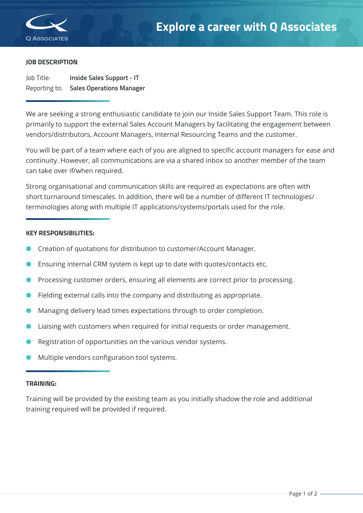

Specialist IT Services

## **JOB DESCRIPTION**

Job Title: **Inside Sales Support - IT** Reporting to: **Sales Operations Manager**

We are seeking a strong enthusiastic candidate to join our Inside Sales Support Team. This role is primarily to support the external Sales Account Managers by facilitating the engagement between vendors/distributors, Account Managers, Internal Resourcing Teams and the customer.

You will be part of a team where each of you are aligned to specific account managers for ease and continuity. However, all communications are via a shared inbox so another member of the team can take over if/when required.

Strong organisational and communication skills are required as expectations are often with short turnaround timescales. In addition, there will be a number of different IT technologies/ terminologies along with multiple IT applications/systems/portals used for the role.

## **KEY RESPONSIBILITIES:**

- l Creation of quotations for distribution to customer/Account Manager.
- Ensuring internal CRM system is kept up to date with quotes/contacts etc.
- Processing customer orders, ensuring all elements are correct prior to processing.
- Fielding external calls into the company and distributing as appropriate.
- l Managing delivery lead times expectations through to order completion.
- Liaising with customers when required for initial requests or order management.
- Registration of opportunities on the various vendor systems.
- l Multiple vendors configuration tool systems.

#### **TRAINING:**

Training will be provided by the existing team as you initially shadow the role and additional training required will be provided if required.